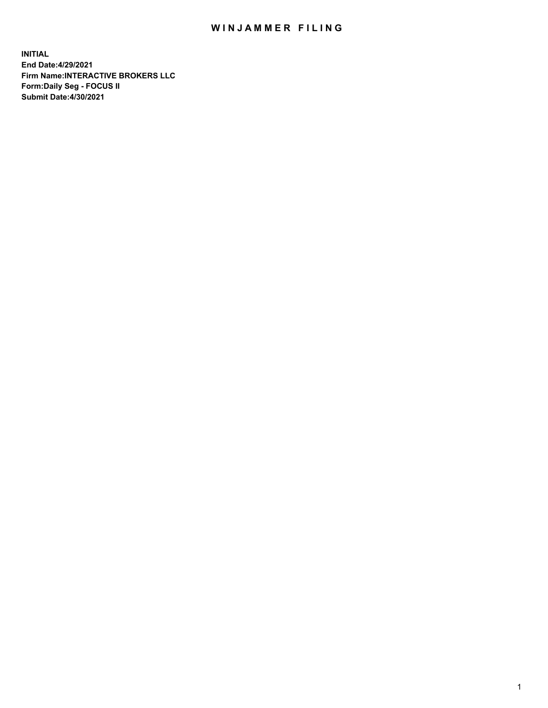## WIN JAMMER FILING

**INITIAL End Date:4/29/2021 Firm Name:INTERACTIVE BROKERS LLC Form:Daily Seg - FOCUS II Submit Date:4/30/2021**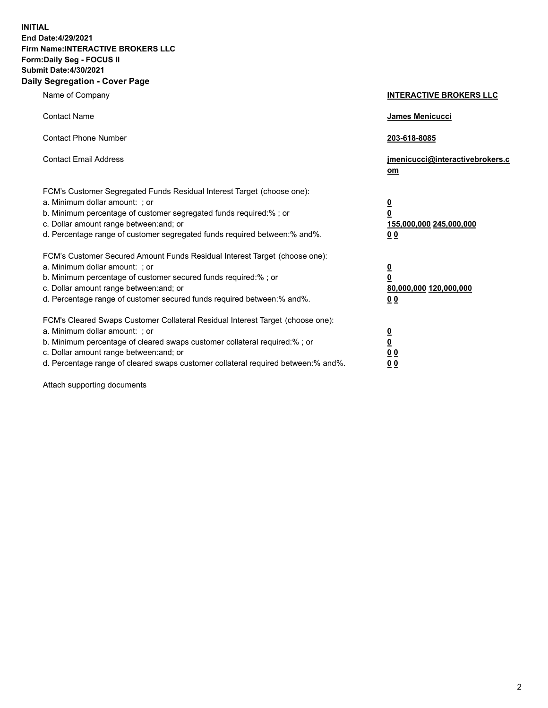**INITIAL End Date:4/29/2021 Firm Name:INTERACTIVE BROKERS LLC Form:Daily Seg - FOCUS II Submit Date:4/30/2021 Daily Segregation - Cover Page**

| Name of Company                                                                                                                                                                                                                                                                                                                | <b>INTERACTIVE BROKERS LLC</b>                                           |  |
|--------------------------------------------------------------------------------------------------------------------------------------------------------------------------------------------------------------------------------------------------------------------------------------------------------------------------------|--------------------------------------------------------------------------|--|
| <b>Contact Name</b>                                                                                                                                                                                                                                                                                                            | James Menicucci                                                          |  |
| <b>Contact Phone Number</b>                                                                                                                                                                                                                                                                                                    | 203-618-8085                                                             |  |
| <b>Contact Email Address</b>                                                                                                                                                                                                                                                                                                   | jmenicucci@interactivebrokers.c<br>om                                    |  |
| FCM's Customer Segregated Funds Residual Interest Target (choose one):<br>a. Minimum dollar amount: ; or<br>b. Minimum percentage of customer segregated funds required:% ; or<br>c. Dollar amount range between: and; or<br>d. Percentage range of customer segregated funds required between: % and %.                       | <u>0</u><br>0<br>155,000,000 245,000,000<br>0 <sub>0</sub>               |  |
| FCM's Customer Secured Amount Funds Residual Interest Target (choose one):<br>a. Minimum dollar amount: ; or<br>b. Minimum percentage of customer secured funds required:% ; or<br>c. Dollar amount range between: and; or<br>d. Percentage range of customer secured funds required between:% and%.                           | <u>0</u><br>$\overline{\mathbf{0}}$<br>80,000,000 120,000,000<br>00      |  |
| FCM's Cleared Swaps Customer Collateral Residual Interest Target (choose one):<br>a. Minimum dollar amount: ; or<br>b. Minimum percentage of cleared swaps customer collateral required:% ; or<br>c. Dollar amount range between: and; or<br>d. Percentage range of cleared swaps customer collateral required between:% and%. | <u>0</u><br>$\underline{\mathbf{0}}$<br>0 <sub>0</sub><br>0 <sub>0</sub> |  |

Attach supporting documents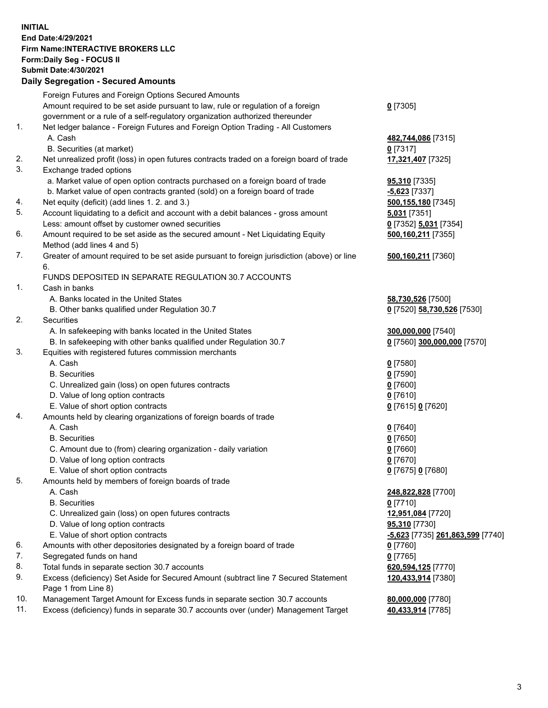**INITIAL End Date:4/29/2021 Firm Name:INTERACTIVE BROKERS LLC Form:Daily Seg - FOCUS II Submit Date:4/30/2021 Daily Segregation - Secured Amounts**

## Foreign Futures and Foreign Options Secured Amounts Amount required to be set aside pursuant to law, rule or regulation of a foreign government or a rule of a self-regulatory organization authorized thereunder **0** [7305] 1. Net ledger balance - Foreign Futures and Foreign Option Trading - All Customers A. Cash **482,744,086** [7315] B. Securities (at market) **0** [7317] 2. Net unrealized profit (loss) in open futures contracts traded on a foreign board of trade **17,321,407** [7325] 3. Exchange traded options a. Market value of open option contracts purchased on a foreign board of trade **95,310** [7335] b. Market value of open contracts granted (sold) on a foreign board of trade **-5,623** [7337] 4. Net equity (deficit) (add lines 1. 2. and 3.) **500,155,180** [7345] 5. Account liquidating to a deficit and account with a debit balances - gross amount **5,031** [7351] Less: amount offset by customer owned securities **0** [7352] **5,031** [7354] 6. Amount required to be set aside as the secured amount - Net Liquidating Equity Method (add lines 4 and 5) **500,160,211** [7355] 7. Greater of amount required to be set aside pursuant to foreign jurisdiction (above) or line 6. **500,160,211** [7360] FUNDS DEPOSITED IN SEPARATE REGULATION 30.7 ACCOUNTS 1. Cash in banks A. Banks located in the United States **58,730,526** [7500] B. Other banks qualified under Regulation 30.7 **0** [7520] **58,730,526** [7530] 2. Securities A. In safekeeping with banks located in the United States **300,000,000** [7540] B. In safekeeping with other banks qualified under Regulation 30.7 **0** [7560] **300,000,000** [7570] 3. Equities with registered futures commission merchants A. Cash **0** [7580] B. Securities **0** [7590] C. Unrealized gain (loss) on open futures contracts **0** [7600] D. Value of long option contracts **0** [7610] E. Value of short option contracts **0** [7615] **0** [7620] 4. Amounts held by clearing organizations of foreign boards of trade A. Cash **0** [7640] B. Securities **0** [7650] C. Amount due to (from) clearing organization - daily variation **0** [7660] D. Value of long option contracts **0** [7670] E. Value of short option contracts **0** [7675] **0** [7680] 5. Amounts held by members of foreign boards of trade A. Cash **248,822,828** [7700] B. Securities **0** [7710] C. Unrealized gain (loss) on open futures contracts **12,951,084** [7720] D. Value of long option contracts **95,310** [7730] E. Value of short option contracts **-5,623** [7735] **261,863,599** [7740] 6. Amounts with other depositories designated by a foreign board of trade **0** [7760] 7. Segregated funds on hand **0** [7765] 8. Total funds in separate section 30.7 accounts **620,594,125** [7770] 9. Excess (deficiency) Set Aside for Secured Amount (subtract line 7 Secured Statement Page 1 from Line 8) **120,433,914** [7380] 10. Management Target Amount for Excess funds in separate section 30.7 accounts **80,000,000** [7780] 11. Excess (deficiency) funds in separate 30.7 accounts over (under) Management Target **40,433,914** [7785]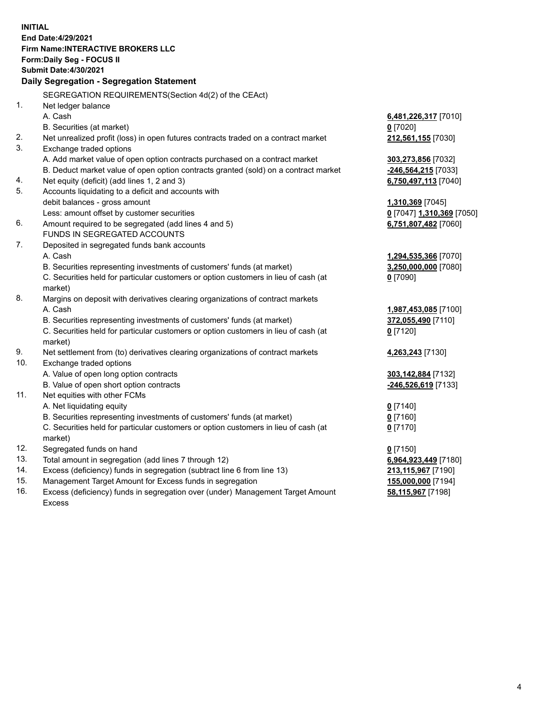**INITIAL End Date:4/29/2021 Firm Name:INTERACTIVE BROKERS LLC Form:Daily Seg - FOCUS II Submit Date:4/30/2021 Daily Segregation - Segregation Statement** SEGREGATION REQUIREMENTS(Section 4d(2) of the CEAct) 1. Net ledger balance A. Cash **6,481,226,317** [7010] B. Securities (at market) **0** [7020] 2. Net unrealized profit (loss) in open futures contracts traded on a contract market **212,561,155** [7030] 3. Exchange traded options A. Add market value of open option contracts purchased on a contract market **303,273,856** [7032] B. Deduct market value of open option contracts granted (sold) on a contract market **-246,564,215** [7033] 4. Net equity (deficit) (add lines 1, 2 and 3) **6,750,497,113** [7040] 5. Accounts liquidating to a deficit and accounts with debit balances - gross amount **1,310,369** [7045] Less: amount offset by customer securities **0** [7047] **1,310,369** [7050] 6. Amount required to be segregated (add lines 4 and 5) **6,751,807,482** [7060] FUNDS IN SEGREGATED ACCOUNTS 7. Deposited in segregated funds bank accounts A. Cash **1,294,535,366** [7070] B. Securities representing investments of customers' funds (at market) **3,250,000,000** [7080] C. Securities held for particular customers or option customers in lieu of cash (at market) **0** [7090] 8. Margins on deposit with derivatives clearing organizations of contract markets A. Cash **1,987,453,085** [7100] B. Securities representing investments of customers' funds (at market) **372,055,490** [7110] C. Securities held for particular customers or option customers in lieu of cash (at market) **0** [7120] 9. Net settlement from (to) derivatives clearing organizations of contract markets **4,263,243** [7130] 10. Exchange traded options A. Value of open long option contracts **303,142,884** [7132] B. Value of open short option contracts **-246,526,619** [7133] 11. Net equities with other FCMs A. Net liquidating equity **0** [7140] B. Securities representing investments of customers' funds (at market) **0** [7160] C. Securities held for particular customers or option customers in lieu of cash (at market) **0** [7170] 12. Segregated funds on hand **0** [7150] 13. Total amount in segregation (add lines 7 through 12) **6,964,923,449** [7180] 14. Excess (deficiency) funds in segregation (subtract line 6 from line 13) **213,115,967** [7190] 15. Management Target Amount for Excess funds in segregation **155,000,000** [7194] 16. Excess (deficiency) funds in segregation over (under) Management Target Amount **58,115,967** [7198]

Excess